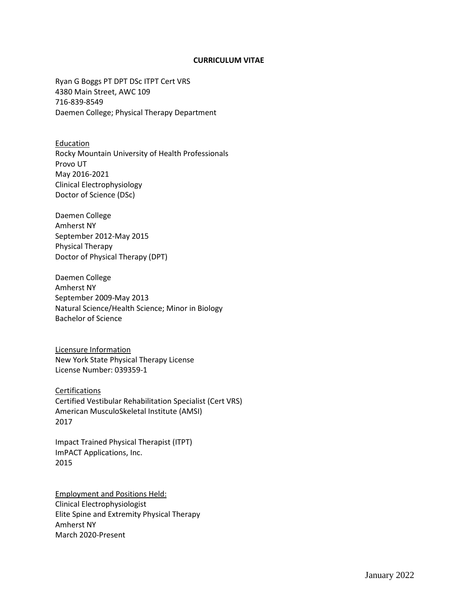#### **CURRICULUM VITAE**

Ryan G Boggs PT DPT DSc ITPT Cert VRS 4380 Main Street, AWC 109 716-839-8549 Daemen College; Physical Therapy Department

Education Rocky Mountain University of Health Professionals Provo UT May 2016-2021 Clinical Electrophysiology Doctor of Science (DSc)

Daemen College Amherst NY September 2012-May 2015 Physical Therapy Doctor of Physical Therapy (DPT)

Daemen College Amherst NY September 2009-May 2013 Natural Science/Health Science; Minor in Biology Bachelor of Science

Licensure Information New York State Physical Therapy License License Number: 039359-1

**Certifications** Certified Vestibular Rehabilitation Specialist (Cert VRS) American MusculoSkeletal Institute (AMSI) 2017

Impact Trained Physical Therapist (ITPT) ImPACT Applications, Inc. 2015

Employment and Positions Held: Clinical Electrophysiologist Elite Spine and Extremity Physical Therapy Amherst NY March 2020-Present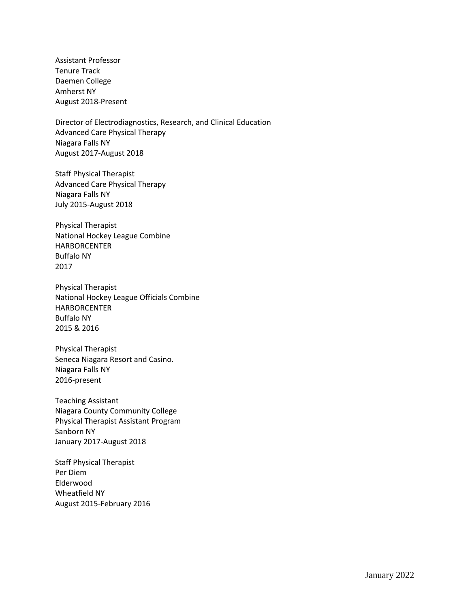Assistant Professor Tenure Track Daemen College Amherst NY August 2018-Present

Director of Electrodiagnostics, Research, and Clinical Education Advanced Care Physical Therapy Niagara Falls NY August 2017-August 2018

Staff Physical Therapist Advanced Care Physical Therapy Niagara Falls NY July 2015-August 2018

Physical Therapist National Hockey League Combine **HARBORCENTER** Buffalo NY 2017

Physical Therapist National Hockey League Officials Combine HARBORCENTER Buffalo NY 2015 & 2016

Physical Therapist Seneca Niagara Resort and Casino. Niagara Falls NY 2016-present

Teaching Assistant Niagara County Community College Physical Therapist Assistant Program Sanborn NY January 2017-August 2018

Staff Physical Therapist Per Diem Elderwood Wheatfield NY August 2015-February 2016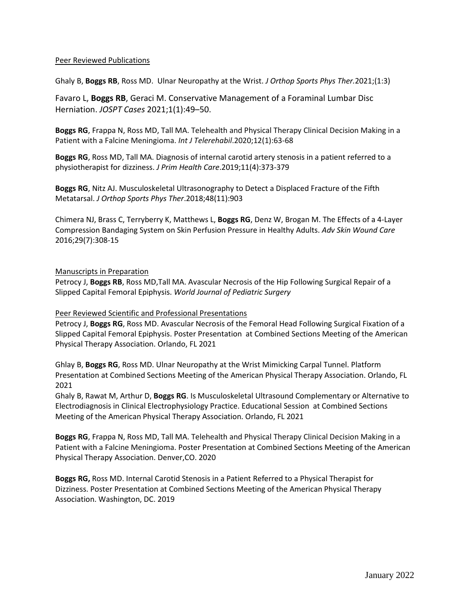### Peer Reviewed Publications

Ghaly B, **Boggs RB**, Ross MD. Ulnar Neuropathy at the Wrist. *J Orthop Sports Phys Ther.*2021;(1:3)

Favaro L, **Boggs RB**, Geraci M. Conservative Management of a Foraminal Lumbar Disc Herniation. *JOSPT Cases* 2021;1(1):49–50.

**Boggs RG**, Frappa N, Ross MD, Tall MA. Telehealth and Physical Therapy Clinical Decision Making in a Patient with a Falcine Meningioma. *Int J Telerehabil*.2020;12(1):63-68

**Boggs RG**, Ross MD, Tall MA. Diagnosis of internal carotid artery stenosis in a patient referred to a physiotherapist for dizziness. *J Prim Health Care*.2019;11(4):373-379

**Boggs RG**, Nitz AJ. Musculoskeletal Ultrasonography to Detect a Displaced Fracture of the Fifth Metatarsal. *J Orthop Sports Phys Ther*.2018;48(11):903

[Chimera NJ,](http://www.ncbi.nlm.nih.gov/pubmed/?term=Chimera%20NJ%5BAuthor%5D&cauthor=true&cauthor_uid=27300361) [Brass C,](http://www.ncbi.nlm.nih.gov/pubmed/?term=Brass%20C%5BAuthor%5D&cauthor=true&cauthor_uid=27300361) [Terryberry K,](http://www.ncbi.nlm.nih.gov/pubmed/?term=Terryberry%20K%5BAuthor%5D&cauthor=true&cauthor_uid=27300361) [Matthews L,](http://www.ncbi.nlm.nih.gov/pubmed/?term=Matthews%20L%5BAuthor%5D&cauthor=true&cauthor_uid=27300361) **[Boggs RG](http://www.ncbi.nlm.nih.gov/pubmed/?term=Boggs%20RG%5BAuthor%5D&cauthor=true&cauthor_uid=27300361)**[, Denz W,](http://www.ncbi.nlm.nih.gov/pubmed/?term=Denz%20W%5BAuthor%5D&cauthor=true&cauthor_uid=27300361) [Brogan M.](http://www.ncbi.nlm.nih.gov/pubmed/?term=Brogan%20M%5BAuthor%5D&cauthor=true&cauthor_uid=27300361) The Effects of a 4-Layer Compression Bandaging System on Skin Perfusion Pressure in Healthy Adults. *Adv Skin Wound Care* 2016;29(7):308-15

### Manuscripts in Preparation

Petrocy J, **Boggs RB**, Ross MD,Tall MA. Avascular Necrosis of the Hip Following Surgical Repair of a Slipped Capital Femoral Epiphysis. *World Journal of Pediatric Surgery*

#### Peer Reviewed Scientific and Professional Presentations

Petrocy J, **Boggs RG**, Ross MD. Avascular Necrosis of the Femoral Head Following Surgical Fixation of a Slipped Capital Femoral Epiphysis. Poster Presentation at Combined Sections Meeting of the American Physical Therapy Association. Orlando, FL 2021

Ghlay B, **Boggs RG**, Ross MD. Ulnar Neuropathy at the Wrist Mimicking Carpal Tunnel. Platform Presentation at Combined Sections Meeting of the American Physical Therapy Association. Orlando, FL 2021

Ghaly B, Rawat M, Arthur D, **Boggs RG**. Is Musculoskeletal Ultrasound Complementary or Alternative to Electrodiagnosis in Clinical Electrophysiology Practice. Educational Session at Combined Sections Meeting of the American Physical Therapy Association. Orlando, FL 2021

**Boggs RG**, Frappa N, Ross MD, Tall MA. Telehealth and Physical Therapy Clinical Decision Making in a Patient with a Falcine Meningioma. Poster Presentation at Combined Sections Meeting of the American Physical Therapy Association. Denver,CO. 2020

**Boggs RG,** Ross MD. Internal Carotid Stenosis in a Patient Referred to a Physical Therapist for Dizziness. Poster Presentation at Combined Sections Meeting of the American Physical Therapy Association. Washington, DC. 2019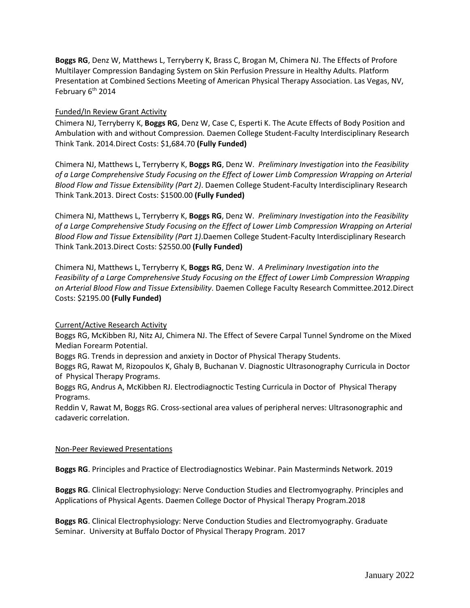**Boggs RG**, Denz W, Matthews L, Terryberry K, Brass C, Brogan M, Chimera NJ. The Effects of Profore Multilayer Compression Bandaging System on Skin Perfusion Pressure in Healthy Adults. Platform Presentation at Combined Sections Meeting of American Physical Therapy Association. Las Vegas, NV, February 6<sup>th</sup> 2014

# Funded/In Review Grant Activity

Chimera NJ, Terryberry K, **Boggs RG**, Denz W, Case C, Esperti K. The Acute Effects of Body Position and Ambulation with and without Compression*.* Daemen College Student-Faculty Interdisciplinary Research Think Tank. 2014*.*Direct Costs: \$1,684.70 **(Fully Funded)**

Chimera NJ, Matthews L, Terryberry K, **Boggs RG**, Denz W. *Preliminary Investigation* into *the Feasibility of a Large Comprehensive Study Focusing on the Effect of Lower Limb Compression Wrapping on Arterial Blood Flow and Tissue Extensibility (Part 2)*. Daemen College Student-Faculty Interdisciplinary Research Think Tank.2013. Direct Costs: \$1500.00 **(Fully Funded)**

Chimera NJ, Matthews L, Terryberry K, **Boggs RG**, Denz W. *Preliminary Investigation into the Feasibility of a Large Comprehensive Study Focusing on the Effect of Lower Limb Compression Wrapping on Arterial Blood Flow and Tissue Extensibility (Part 1)*.Daemen College Student-Faculty Interdisciplinary Research Think Tank.2013.Direct Costs: \$2550.00 **(Fully Funded)**

Chimera NJ, Matthews L, Terryberry K, **Boggs RG**, Denz W. *A Preliminary Investigation into the Feasibility of a Large Comprehensive Study Focusing on the Effect of Lower Limb Compression Wrapping on Arterial Blood Flow and Tissue Extensibility*. Daemen College Faculty Research Committee.2012.Direct Costs: \$2195.00 **(Fully Funded)**

# Current/Active Research Activity

Boggs RG, McKibben RJ, Nitz AJ, Chimera NJ. The Effect of Severe Carpal Tunnel Syndrome on the Mixed Median Forearm Potential.

Boggs RG. Trends in depression and anxiety in Doctor of Physical Therapy Students.

Boggs RG, Rawat M, Rizopoulos K, Ghaly B, Buchanan V. Diagnostic Ultrasonography Curricula in Doctor of Physical Therapy Programs.

Boggs RG, Andrus A, McKibben RJ. Electrodiagnoctic Testing Curricula in Doctor of Physical Therapy Programs.

Reddin V, Rawat M, Boggs RG. Cross-sectional area values of peripheral nerves: Ultrasonographic and cadaveric correlation.

# Non-Peer Reviewed Presentations

**Boggs RG**. Principles and Practice of Electrodiagnostics Webinar. Pain Masterminds Network. 2019

**Boggs RG**. Clinical Electrophysiology: Nerve Conduction Studies and Electromyography. Principles and Applications of Physical Agents. Daemen College Doctor of Physical Therapy Program.2018

**Boggs RG**. Clinical Electrophysiology: Nerve Conduction Studies and Electromyography. Graduate Seminar. University at Buffalo Doctor of Physical Therapy Program. 2017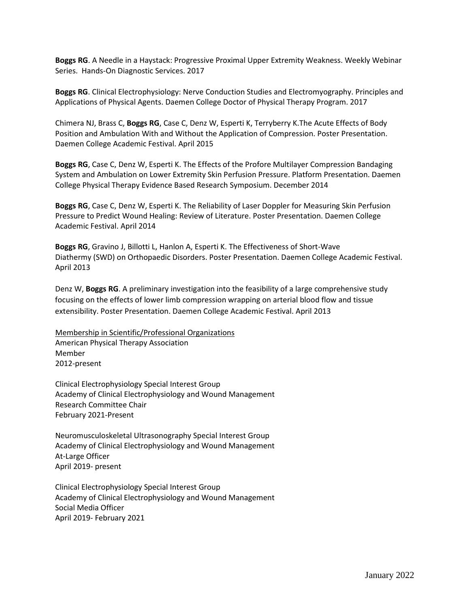**Boggs RG**. A Needle in a Haystack: Progressive Proximal Upper Extremity Weakness. Weekly Webinar Series. Hands-On Diagnostic Services. 2017

**Boggs RG**. Clinical Electrophysiology: Nerve Conduction Studies and Electromyography. Principles and Applications of Physical Agents. Daemen College Doctor of Physical Therapy Program. 2017

Chimera NJ, Brass C, **Boggs RG**, Case C, Denz W, Esperti K, Terryberry K.The Acute Effects of Body Position and Ambulation With and Without the Application of Compression. Poster Presentation. Daemen College Academic Festival. April 2015

**Boggs RG**, Case C, Denz W, Esperti K. The Effects of the Profore Multilayer Compression Bandaging System and Ambulation on Lower Extremity Skin Perfusion Pressure. Platform Presentation. Daemen College Physical Therapy Evidence Based Research Symposium. December 2014

**Boggs RG**, Case C, Denz W, Esperti K. The Reliability of Laser Doppler for Measuring Skin Perfusion Pressure to Predict Wound Healing: Review of Literature. Poster Presentation. Daemen College Academic Festival. April 2014

**Boggs RG**, Gravino J, Billotti L, Hanlon A, Esperti K. The Effectiveness of Short-Wave Diathermy (SWD) on Orthopaedic Disorders. Poster Presentation. Daemen College Academic Festival. April 2013

Denz W, **Boggs RG**. A preliminary investigation into the feasibility of a large comprehensive study focusing on the effects of lower limb compression wrapping on arterial blood flow and tissue extensibility. Poster Presentation. Daemen College Academic Festival. April 2013

Membership in Scientific/Professional Organizations American Physical Therapy Association Member 2012-present

Clinical Electrophysiology Special Interest Group Academy of Clinical Electrophysiology and Wound Management Research Committee Chair February 2021-Present

Neuromusculoskeletal Ultrasonography Special Interest Group Academy of Clinical Electrophysiology and Wound Management At-Large Officer April 2019- present

Clinical Electrophysiology Special Interest Group Academy of Clinical Electrophysiology and Wound Management Social Media Officer April 2019- February 2021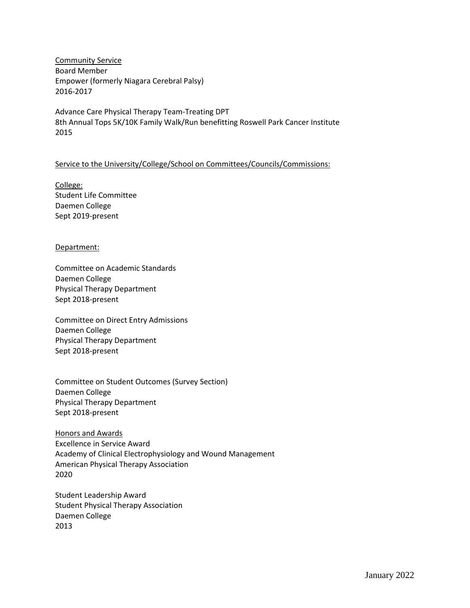Community Service Board Member Empower (formerly Niagara Cerebral Palsy) 2016-2017

Advance Care Physical Therapy Team-Treating DPT 8th Annual Tops 5K/10K Family Walk/Run benefitting Roswell Park Cancer Institute 2015

### Service to the University/College/School on Committees/Councils/Commissions:

College: Student Life Committee Daemen College Sept 2019-present

#### Department:

Committee on Academic Standards Daemen College Physical Therapy Department Sept 2018-present

Committee on Direct Entry Admissions Daemen College Physical Therapy Department Sept 2018-present

Committee on Student Outcomes (Survey Section) Daemen College Physical Therapy Department Sept 2018-present

Honors and Awards Excellence in Service Award Academy of Clinical Electrophysiology and Wound Management American Physical Therapy Association 2020

Student Leadership Award Student Physical Therapy Association Daemen College 2013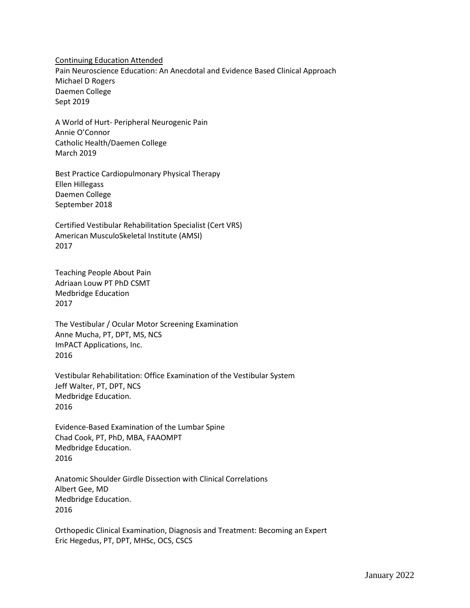Continuing Education Attended Pain Neuroscience Education: An Anecdotal and Evidence Based Clinical Approach Michael D Rogers Daemen College Sept 2019

A World of Hurt- Peripheral Neurogenic Pain Annie O'Connor Catholic Health/Daemen College March 2019

Best Practice Cardiopulmonary Physical Therapy Ellen Hillegass Daemen College September 2018

Certified Vestibular Rehabilitation Specialist (Cert VRS) American MusculoSkeletal Institute (AMSI) 2017

Teaching People About Pain Adriaan Louw PT PhD CSMT Medbridge Education 2017

The Vestibular / Ocular Motor Screening Examination Anne Mucha, PT, DPT, MS, NCS ImPACT Applications, Inc. 2016

Vestibular Rehabilitation: Office Examination of the Vestibular System Jeff Walter, PT, DPT, NCS Medbridge Education. 2016

Evidence-Based Examination of the Lumbar Spine Chad Cook, PT, PhD, MBA, FAAOMPT Medbridge Education. 2016

Anatomic Shoulder Girdle Dissection with Clinical Correlations Albert Gee, MD Medbridge Education. 2016

Orthopedic Clinical Examination, Diagnosis and Treatment: Becoming an Expert Eric Hegedus, PT, DPT, MHSc, OCS, CSCS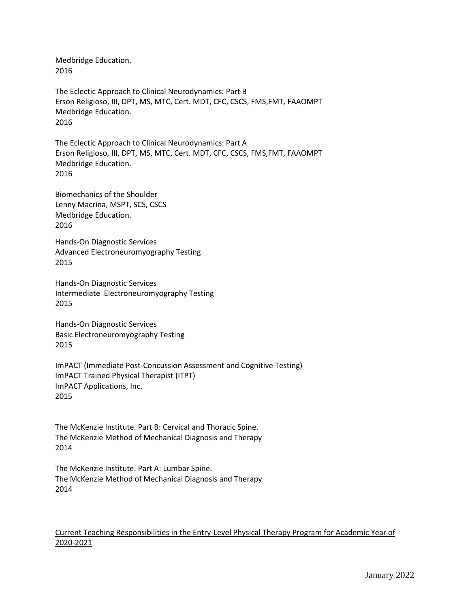Medbridge Education. 2016

The Eclectic Approach to Clinical Neurodynamics: Part B Erson Religioso, III, DPT, MS, MTC, Cert. MDT, CFC, CSCS, FMS,FMT, FAAOMPT Medbridge Education. 2016

The Eclectic Approach to Clinical Neurodynamics: Part A Erson Religioso, III, DPT, MS, MTC, Cert. MDT, CFC, CSCS, FMS,FMT, FAAOMPT Medbridge Education. 2016

Biomechanics of the Shoulder Lenny Macrina, MSPT, SCS, CSCS Medbridge Education. 2016

Hands-On Diagnostic Services Advanced Electroneuromyography Testing 2015

Hands-On Diagnostic Services Intermediate Electroneuromyography Testing 2015

Hands-On Diagnostic Services Basic Electroneuromyography Testing 2015

ImPACT (Immediate Post-Concussion Assessment and Cognitive Testing) ImPACT Trained Physical Therapist (ITPT) ImPACT Applications, Inc. 2015

The McKenzie Institute. Part B: Cervical and Thoracic Spine. The McKenzie Method of Mechanical Diagnosis and Therapy 2014

The McKenzie Institute. Part A: Lumbar Spine. The McKenzie Method of Mechanical Diagnosis and Therapy 2014

# Current Teaching Responsibilities in the Entry-Level Physical Therapy Program for Academic Year of 2020-2021